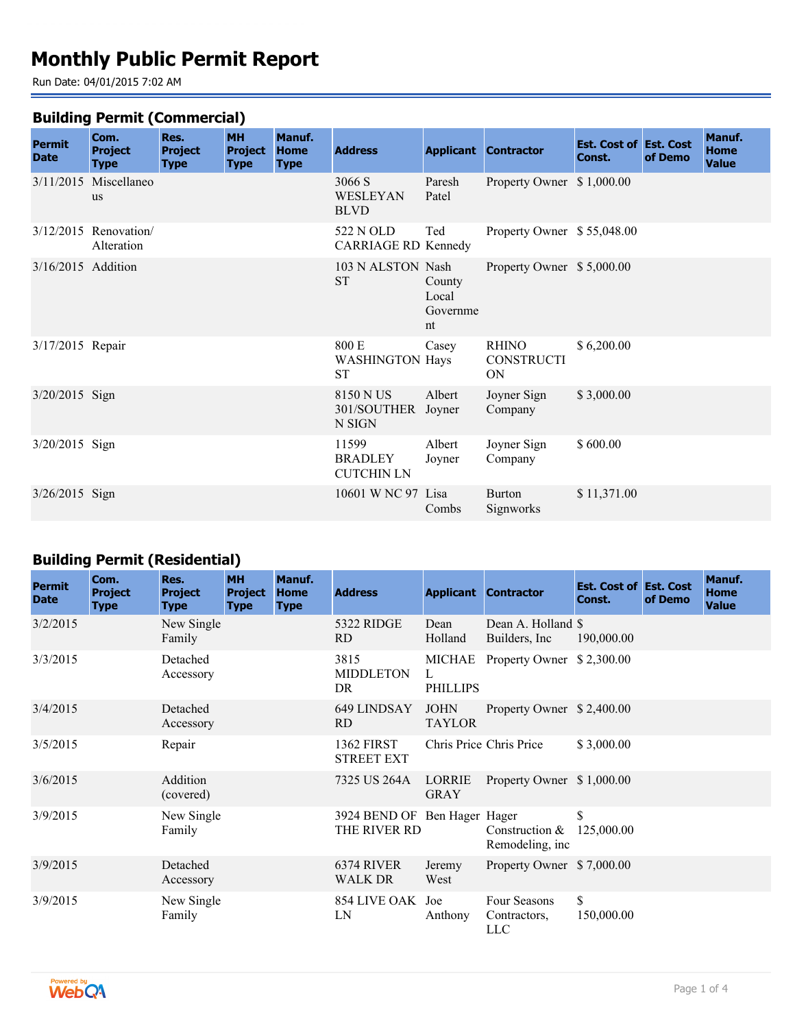# **Monthly Public Permit Report**

Run Date: 04/01/2015 7:02 AM

#### **Building Permit (Commercial)**

| <b>Permit</b><br><b>Date</b> | Com.<br><b>Project</b><br><b>Type</b> | Res.<br><b>Project</b><br><b>Type</b> | <b>MH</b><br><b>Project</b><br><b>Type</b> | Manuf.<br><b>Home</b><br><b>Type</b> | <b>Address</b>                               |                                   | <b>Applicant Contractor</b>             | <b>Est. Cost of Est. Cost</b><br>Const. | of Demo | Manuf.<br><b>Home</b><br><b>Value</b> |
|------------------------------|---------------------------------------|---------------------------------------|--------------------------------------------|--------------------------------------|----------------------------------------------|-----------------------------------|-----------------------------------------|-----------------------------------------|---------|---------------------------------------|
|                              | 3/11/2015 Miscellaneo<br><b>us</b>    |                                       |                                            |                                      | 3066 S<br>WESLEYAN<br><b>BLVD</b>            | Paresh<br>Patel                   | Property Owner \$1,000.00               |                                         |         |                                       |
|                              | $3/12/2015$ Renovation<br>Alteration  |                                       |                                            |                                      | 522 N OLD<br><b>CARRIAGE RD Kennedy</b>      | Ted                               | Property Owner \$55,048.00              |                                         |         |                                       |
| 3/16/2015 Addition           |                                       |                                       |                                            |                                      | 103 N ALSTON Nash<br><b>ST</b>               | County<br>Local<br>Governme<br>nt | Property Owner \$5,000.00               |                                         |         |                                       |
| 3/17/2015 Repair             |                                       |                                       |                                            |                                      | 800 E<br><b>WASHINGTON Hays</b><br><b>ST</b> | Casey                             | <b>RHINO</b><br><b>CONSTRUCTI</b><br>ON | \$6,200.00                              |         |                                       |
| $3/20/2015$ Sign             |                                       |                                       |                                            |                                      | 8150 N US<br>301/SOUTHER Joyner<br>N SIGN    | Albert                            | Joyner Sign<br>Company                  | \$3,000.00                              |         |                                       |
| 3/20/2015 Sign               |                                       |                                       |                                            |                                      | 11599<br><b>BRADLEY</b><br><b>CUTCHIN LN</b> | Albert<br>Joyner                  | Joyner Sign<br>Company                  | \$600.00                                |         |                                       |
| 3/26/2015 Sign               |                                       |                                       |                                            |                                      | 10601 W NC 97 Lisa                           | Combs                             | <b>Burton</b><br>Signworks              | \$11,371.00                             |         |                                       |

# **Building Permit (Residential)**

| <b>Permit</b><br><b>Date</b> | Com.<br><b>Project</b><br><b>Type</b> | Res.<br><b>Project</b><br><b>Type</b> | <b>MH</b><br><b>Project</b><br><b>Type</b> | Manuf.<br><b>Home</b><br><b>Type</b> | <b>Address</b>                         |                                | <b>Applicant Contractor</b>                      | <b>Est. Cost of Est. Cost</b><br>Const. | of Demo | Manuf.<br>Home<br><b>Value</b> |
|------------------------------|---------------------------------------|---------------------------------------|--------------------------------------------|--------------------------------------|----------------------------------------|--------------------------------|--------------------------------------------------|-----------------------------------------|---------|--------------------------------|
| 3/2/2015                     |                                       | New Single<br>Family                  |                                            |                                      | 5322 RIDGE<br>RD                       | Dean<br>Holland                | Dean A. Holland \$<br>Builders, Inc.             | 190,000.00                              |         |                                |
| 3/3/2015                     |                                       | Detached<br>Accessory                 |                                            |                                      | 3815<br><b>MIDDLETON</b><br>DR         | MICHAE<br>L<br><b>PHILLIPS</b> | Property Owner \$2,300.00                        |                                         |         |                                |
| 3/4/2015                     |                                       | Detached<br>Accessory                 |                                            |                                      | 649 LINDSAY<br>RD.                     | <b>JOHN</b><br><b>TAYLOR</b>   | Property Owner \$2,400.00                        |                                         |         |                                |
| 3/5/2015                     |                                       | Repair                                |                                            |                                      | <b>1362 FIRST</b><br><b>STREET EXT</b> |                                | Chris Price Chris Price                          | \$3,000.00                              |         |                                |
| 3/6/2015                     |                                       | Addition<br>(covered)                 |                                            |                                      | 7325 US 264A                           | LORRIE<br><b>GRAY</b>          | Property Owner \$1,000.00                        |                                         |         |                                |
| 3/9/2015                     |                                       | New Single<br>Family                  |                                            |                                      | 3924 BEND OF<br>THE RIVER RD           | Ben Hager Hager                | Construction $\&$ 125,000.00<br>Remodeling, inc. | \$                                      |         |                                |
| 3/9/2015                     |                                       | Detached<br>Accessory                 |                                            |                                      | 6374 RIVER<br><b>WALK DR</b>           | Jeremy<br>West                 | Property Owner \$7,000.00                        |                                         |         |                                |
| 3/9/2015                     |                                       | New Single<br>Family                  |                                            |                                      | 854 LIVE OAK Joe<br>LN                 | Anthony                        | Four Seasons<br>Contractors,<br><b>LLC</b>       | \$<br>150,000.00                        |         |                                |

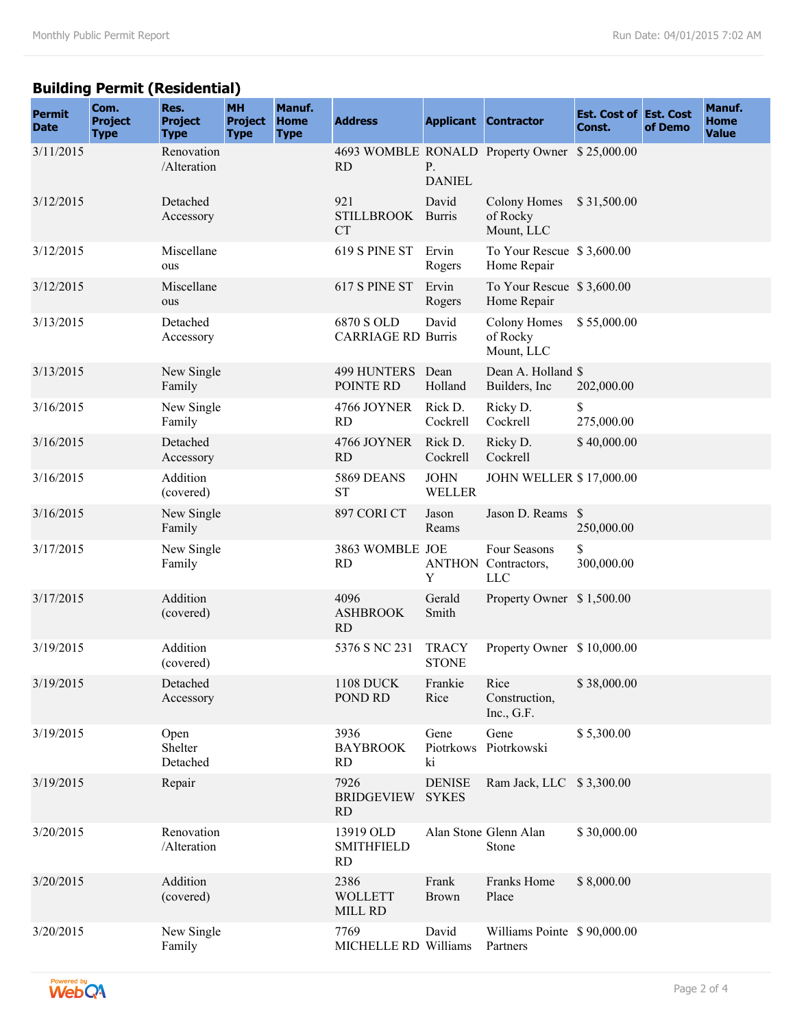# **Building Permit (Residential)**

| <b>Permit</b><br><b>Date</b> | Com.<br><b>Project</b><br><b>Type</b> | Res.<br><b>Project</b><br><b>Type</b> | <b>MH</b><br><b>Project</b><br><b>Type</b> | Manuf.<br><b>Home</b><br><b>Type</b> | <b>Address</b>                          |                               | <b>Applicant Contractor</b>                       | <b>Est. Cost of Est. Cost</b><br>Const. | of Demo | Manuf.<br><b>Home</b><br><b>Value</b> |
|------------------------------|---------------------------------------|---------------------------------------|--------------------------------------------|--------------------------------------|-----------------------------------------|-------------------------------|---------------------------------------------------|-----------------------------------------|---------|---------------------------------------|
| 3/11/2015                    |                                       | Renovation<br>/Alteration             |                                            |                                      | <b>RD</b>                               | P.<br><b>DANIEL</b>           | 4693 WOMBLE RONALD Property Owner \$25,000.00     |                                         |         |                                       |
| 3/12/2015                    |                                       | Detached<br>Accessory                 |                                            |                                      | 921<br>STILLBROOK Burris<br><b>CT</b>   | David                         | <b>Colony Homes</b><br>of Rocky<br>Mount, LLC     | \$31,500.00                             |         |                                       |
| 3/12/2015                    |                                       | Miscellane<br>ous                     |                                            |                                      | 619 S PINE ST                           | Ervin<br>Rogers               | To Your Rescue \$3,600.00<br>Home Repair          |                                         |         |                                       |
| 3/12/2015                    |                                       | Miscellane<br>ous                     |                                            |                                      | 617 S PINE ST                           | Ervin<br>Rogers               | To Your Rescue \$3,600.00<br>Home Repair          |                                         |         |                                       |
| 3/13/2015                    |                                       | Detached<br>Accessory                 |                                            |                                      | 6870 S OLD<br><b>CARRIAGE RD Burris</b> | David                         | Colony Homes<br>of Rocky<br>Mount, LLC            | \$55,000.00                             |         |                                       |
| 3/13/2015                    |                                       | New Single<br>Family                  |                                            |                                      | 499 HUNTERS Dean<br>POINTE RD           | Holland                       | Dean A. Holland \$<br>Builders, Inc.              | 202,000.00                              |         |                                       |
| 3/16/2015                    |                                       | New Single<br>Family                  |                                            |                                      | 4766 JOYNER<br><b>RD</b>                | Rick D.<br>Cockrell           | Ricky D.<br>Cockrell                              | S<br>275,000.00                         |         |                                       |
| 3/16/2015                    |                                       | Detached<br>Accessory                 |                                            |                                      | 4766 JOYNER<br><b>RD</b>                | Rick D.<br>Cockrell           | Ricky D.<br>Cockrell                              | \$40,000.00                             |         |                                       |
| 3/16/2015                    |                                       | Addition<br>(covered)                 |                                            |                                      | 5869 DEANS<br><b>ST</b>                 | <b>JOHN</b><br>WELLER         | JOHN WELLER \$17,000.00                           |                                         |         |                                       |
| 3/16/2015                    |                                       | New Single<br>Family                  |                                            |                                      | 897 CORI CT                             | Jason<br>Reams                | Jason D. Reams \$                                 | 250,000.00                              |         |                                       |
| 3/17/2015                    |                                       | New Single<br>Family                  |                                            |                                      | 3863 WOMBLE JOE<br>RD                   | Y                             | Four Seasons<br>ANTHON Contractors,<br><b>LLC</b> | \$<br>300,000.00                        |         |                                       |
| 3/17/2015                    |                                       | Addition<br>(covered)                 |                                            |                                      | 4096<br><b>ASHBROOK</b><br>RD           | Gerald<br>Smith               | Property Owner \$1,500.00                         |                                         |         |                                       |
| 3/19/2015                    |                                       | Addition<br>(covered)                 |                                            |                                      | 5376 S NC 231                           | <b>TRACY</b><br><b>STONE</b>  | Property Owner \$10,000.00                        |                                         |         |                                       |
| 3/19/2015                    |                                       | Detached<br>Accessory                 |                                            |                                      | <b>1108 DUCK</b><br>POND RD             | Frankie<br>Rice               | Rice<br>Construction,<br>Inc., G.F.               | \$38,000.00                             |         |                                       |
| 3/19/2015                    |                                       | Open<br>Shelter<br>Detached           |                                            |                                      | 3936<br><b>BAYBROOK</b><br><b>RD</b>    | Gene<br>Piotrkows<br>ki       | Gene<br>Piotrkowski                               | \$5,300.00                              |         |                                       |
| 3/19/2015                    |                                       | Repair                                |                                            |                                      | 7926<br><b>BRIDGEVIEW</b><br>RD.        | <b>DENISE</b><br><b>SYKES</b> | Ram Jack, LLC \$3,300.00                          |                                         |         |                                       |
| 3/20/2015                    |                                       | Renovation<br>/Alteration             |                                            |                                      | 13919 OLD<br><b>SMITHFIELD</b><br>RD    |                               | Alan Stone Glenn Alan<br>Stone                    | \$30,000.00                             |         |                                       |
| 3/20/2015                    |                                       | Addition<br>(covered)                 |                                            |                                      | 2386<br><b>WOLLETT</b><br>MILL RD       | Frank<br><b>Brown</b>         | Franks Home<br>Place                              | \$8,000.00                              |         |                                       |
| 3/20/2015                    |                                       | New Single<br>Family                  |                                            |                                      | 7769<br>MICHELLE RD Williams            | David                         | Williams Pointe \$90,000.00<br>Partners           |                                         |         |                                       |

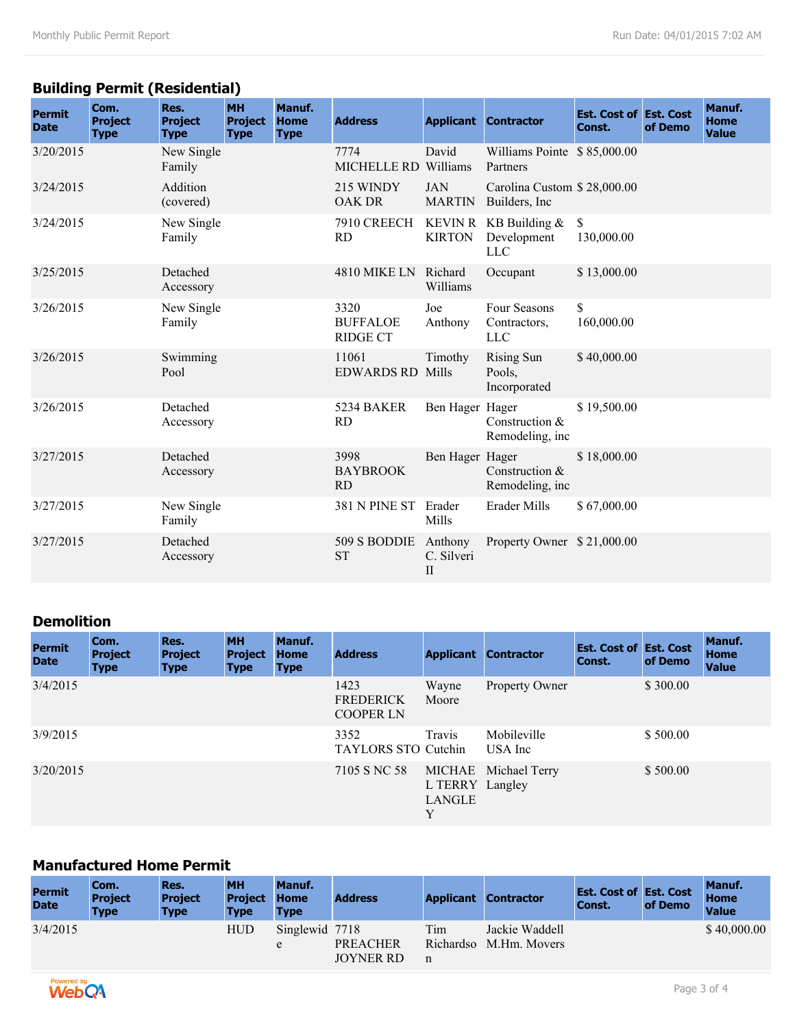# **Building Permit (Residential)**

| <b>Permit</b><br><b>Date</b> | Com.<br><b>Project</b><br><b>Type</b> | Res.<br><b>Project</b><br><b>Type</b> | <b>MH</b><br><b>Project</b><br><b>Type</b> | Manuf.<br><b>Home</b><br><b>Type</b> | <b>Address</b>                             |                                       | <b>Applicant Contractor</b>                          | <b>Est. Cost of Est. Cost</b><br>Const. | of Demo | Manuf.<br><b>Home</b><br><b>Value</b> |
|------------------------------|---------------------------------------|---------------------------------------|--------------------------------------------|--------------------------------------|--------------------------------------------|---------------------------------------|------------------------------------------------------|-----------------------------------------|---------|---------------------------------------|
| 3/20/2015                    |                                       | New Single<br>Family                  |                                            |                                      | 7774<br>MICHELLE RD Williams               | David                                 | Williams Pointe \$85,000.00<br>Partners              |                                         |         |                                       |
| 3/24/2015                    |                                       | Addition<br>(covered)                 |                                            |                                      | 215 WINDY<br><b>OAK DR</b>                 | <b>JAN</b><br><b>MARTIN</b>           | Carolina Custom \$28,000.00<br>Builders, Inc.        |                                         |         |                                       |
| 3/24/2015                    |                                       | New Single<br>Family                  |                                            |                                      | 7910 CREECH<br>RD                          | <b>KIRTON</b>                         | KEVIN R KB Building $&$<br>Development<br><b>LLC</b> | $\mathbb{S}$<br>130,000.00              |         |                                       |
| 3/25/2015                    |                                       | Detached<br>Accessory                 |                                            |                                      | 4810 MIKE LN Richard                       | Williams                              | Occupant                                             | \$13,000.00                             |         |                                       |
| 3/26/2015                    |                                       | New Single<br>Family                  |                                            |                                      | 3320<br><b>BUFFALOE</b><br><b>RIDGE CT</b> | Joe<br>Anthony                        | Four Seasons<br>Contractors,<br><b>LLC</b>           | $\mathbb{S}$<br>160,000.00              |         |                                       |
| 3/26/2015                    |                                       | Swimming<br>Pool                      |                                            |                                      | 11061<br><b>EDWARDS RD Mills</b>           | Timothy                               | <b>Rising Sun</b><br>Pools,<br>Incorporated          | \$40,000.00                             |         |                                       |
| 3/26/2015                    |                                       | Detached<br>Accessory                 |                                            |                                      | 5234 BAKER<br><b>RD</b>                    | Ben Hager Hager                       | Construction &<br>Remodeling, inc                    | \$19,500.00                             |         |                                       |
| 3/27/2015                    |                                       | Detached<br>Accessory                 |                                            |                                      | 3998<br><b>BAYBROOK</b><br><b>RD</b>       | Ben Hager Hager                       | Construction &<br>Remodeling, inc                    | \$18,000.00                             |         |                                       |
| 3/27/2015                    |                                       | New Single<br>Family                  |                                            |                                      | 381 N PINE ST                              | Erader<br>Mills                       | Erader Mills                                         | \$67,000.00                             |         |                                       |
| 3/27/2015                    |                                       | Detached<br>Accessory                 |                                            |                                      | 509 S BODDIE<br><b>ST</b>                  | Anthony<br>C. Silveri<br>$\mathbf{I}$ | Property Owner \$21,000.00                           |                                         |         |                                       |

#### **Demolition**

| <b>Permit</b><br><b>Date</b> | Com.<br><b>Project</b><br><b>Type</b> | Res.<br><b>Project</b><br><b>Type</b> | <b>MH</b><br><b>Project</b><br><b>Type</b> | Manuf.<br><b>Home</b><br><b>Type</b> | <b>Address</b>                               | <b>Applicant</b>               | <b>Contractor</b>       | <b>Est. Cost of Est. Cost</b><br>Const. | of Demo  | <b>Manuf.</b><br><b>Home</b><br><b>Value</b> |
|------------------------------|---------------------------------------|---------------------------------------|--------------------------------------------|--------------------------------------|----------------------------------------------|--------------------------------|-------------------------|-----------------------------------------|----------|----------------------------------------------|
| 3/4/2015                     |                                       |                                       |                                            |                                      | 1423<br><b>FREDERICK</b><br><b>COOPER LN</b> | Wayne<br>Moore                 | <b>Property Owner</b>   |                                         | \$300.00 |                                              |
| 3/9/2015                     |                                       |                                       |                                            |                                      | 3352<br><b>TAYLORS STO Cutchin</b>           | Travis                         | Mobileville<br>USA Inc. |                                         | \$500.00 |                                              |
| 3/20/2015                    |                                       |                                       |                                            |                                      | 7105 S NC 58                                 | L TERRY Langley<br>LANGLE<br>Y | MICHAE Michael Terry    |                                         | \$500.00 |                                              |

#### **Manufactured Home Permit**

| <b>Permit</b><br><b>Date</b> | Com.<br><b>Project</b><br><b>Type</b> | Res.<br><b>Project</b><br><b>Type</b> | <b>MH</b><br><b>Project</b><br><b>Type</b> | Manuf.<br><b>Home</b><br><b>Type</b> | <b>Address</b>                      |                       | <b>Applicant Contractor</b>    | <b>Est. Cost of Est. Cost</b><br>Const. | of Demo | Manuf.<br><b>Home</b><br><b>Value</b> |
|------------------------------|---------------------------------------|---------------------------------------|--------------------------------------------|--------------------------------------|-------------------------------------|-----------------------|--------------------------------|-----------------------------------------|---------|---------------------------------------|
| 3/4/2015                     |                                       |                                       | HUD                                        | Singlewid 7718<br>e                  | <b>PREACHER</b><br><b>JOYNER RD</b> | Tim<br>Richardso<br>n | Jackie Waddell<br>M.Hm. Movers |                                         |         | \$40,000.00                           |